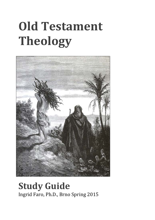# **Old Testament Theology**



## **Study Guide** Ingrid Faro, Ph.D., Brno Spring 2015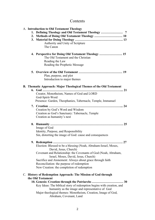### Contents

|  | A. Introduction to Old Testament Theology |                                                                       |  |  |  |  |
|--|-------------------------------------------|-----------------------------------------------------------------------|--|--|--|--|
|  |                                           |                                                                       |  |  |  |  |
|  |                                           |                                                                       |  |  |  |  |
|  |                                           |                                                                       |  |  |  |  |
|  |                                           | Authority and Unity of Scripture                                      |  |  |  |  |
|  |                                           | The Canon                                                             |  |  |  |  |
|  |                                           | 4. Perspective for Doing Old Testament Theology  15                   |  |  |  |  |
|  |                                           | The Old Testament and the Christian                                   |  |  |  |  |
|  |                                           | Reading the Law                                                       |  |  |  |  |
|  |                                           | Reading the Prophetic Message                                         |  |  |  |  |
|  |                                           |                                                                       |  |  |  |  |
|  |                                           | Plan, purpose, and plot                                               |  |  |  |  |
|  |                                           | Introduction to major themes                                          |  |  |  |  |
|  |                                           | B. Thematic Approach: Major Theological Themes of the Old Testament   |  |  |  |  |
|  |                                           |                                                                       |  |  |  |  |
|  |                                           | Creator, Monotheism, Names of God and LORD                            |  |  |  |  |
|  |                                           | God-Spirit-Word                                                       |  |  |  |  |
|  |                                           | Presence: Garden, Theophanies, Tabernacle, Temple, Immanuel           |  |  |  |  |
|  |                                           | 7. Creation                                                           |  |  |  |  |
|  |                                           | Creation by God's Word and Wisdom                                     |  |  |  |  |
|  |                                           | Creation as God's Sanctuary: Tabernacle, Temple                       |  |  |  |  |
|  |                                           | Creation as humanity's nest                                           |  |  |  |  |
|  |                                           |                                                                       |  |  |  |  |
|  |                                           | Image of God                                                          |  |  |  |  |
|  |                                           | Identity, Purpose, and Responsibility                                 |  |  |  |  |
|  |                                           | Sin, distorting the image of God: cause and consequences              |  |  |  |  |
|  |                                           |                                                                       |  |  |  |  |
|  |                                           | Election: Blessed to be a blessing (Noah, Abraham-Israel, Moses,      |  |  |  |  |
|  |                                           | David, Jesus, Church)                                                 |  |  |  |  |
|  |                                           | Covenant and Relationship: the Covenants of God (Noah, Abraham,       |  |  |  |  |
|  |                                           | Israel, Moses, David, Jesus, Church)                                  |  |  |  |  |
|  |                                           | Sacrifice and Atonement: Always about grace through faith             |  |  |  |  |
|  |                                           | Reconciliation: the purpose of redemption                             |  |  |  |  |
|  |                                           | New Creation: the completion of redemption                            |  |  |  |  |
|  |                                           | C. History of Redemption Approach: The Mission of God through         |  |  |  |  |
|  |                                           | the Old Testament                                                     |  |  |  |  |
|  |                                           |                                                                       |  |  |  |  |
|  |                                           | Key Ideas: The biblical story of redemption begins with creation, and |  |  |  |  |
|  |                                           | humanity as the image and representative of God                       |  |  |  |  |
|  |                                           | Major theological themes: Monotheism, Creation, Image of God,         |  |  |  |  |

Abraham, Covenant, Land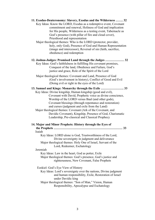| 11. Exodus-Deuteronomy: Slavery, Exodus and the Wilderness  32                                                                                                                                                                                                                        |  |  |  |  |  |
|---------------------------------------------------------------------------------------------------------------------------------------------------------------------------------------------------------------------------------------------------------------------------------------|--|--|--|--|--|
| Key Ideas: Know the LORD, Exodus as a redemptive event, Covenant<br>commitment and renewal, Holiness of God and implication<br>for His people, Wilderness as a testing event, Tabernacle as<br>God's presence (with pillar of fire and cloud cover),<br>Priesthood and representation |  |  |  |  |  |
| Major theological themes: Who is the LORD (protector, provider,<br>holy, only God), Presence of God and Human Representation<br>(image and intercessor), Reversal of sin (faith, sacrifice,<br>obedience) and redemption                                                              |  |  |  |  |  |
| 12. Joshua-Judges: Promised Land through the Judges  32<br>Key Ideas: God's faithfulness in fulfilling His covenant promises,<br>Conquest of the land, Obedience and Failure, God's<br>justice and grace, Role of the Spirit of the Lord                                              |  |  |  |  |  |
| Major theological themes: Covenant and Land, Presence of God<br>(God's involvement in history), Conflict of Good and Evil<br>(Doing evil or right in the eyes of the Lord)                                                                                                            |  |  |  |  |  |
| 13. Samuel and Kings: Monarchy through the Exile  33                                                                                                                                                                                                                                  |  |  |  |  |  |
| Key Ideas: Divine kingship, Human kingship (good and evil),                                                                                                                                                                                                                           |  |  |  |  |  |
| Covenant with David, Prophetic voice as divine conscience,                                                                                                                                                                                                                            |  |  |  |  |  |
| Worship of the LORD versus Baal (and other gods),                                                                                                                                                                                                                                     |  |  |  |  |  |
| Covenant blessings (through repentance and restoration)                                                                                                                                                                                                                               |  |  |  |  |  |
| and curses (judgment and exile from the Land)                                                                                                                                                                                                                                         |  |  |  |  |  |
| Major theological themes: Covenant (Ark of the Covenant, and                                                                                                                                                                                                                          |  |  |  |  |  |
| Davidic Covenant), Kingship, Presence of God, Charismatic                                                                                                                                                                                                                             |  |  |  |  |  |
| Leadership, Pre-classical and Classical Prophecy                                                                                                                                                                                                                                      |  |  |  |  |  |
| 14. Major and Minor Prophets: History through the Eyes of<br>33<br>Isaiah                                                                                                                                                                                                             |  |  |  |  |  |
| Key Ideas: LORD alone is God, Trustworthiness of the Lord,                                                                                                                                                                                                                            |  |  |  |  |  |
| Divine sovereignty in judgment and deliverance                                                                                                                                                                                                                                        |  |  |  |  |  |
| Major theological themes: Holy One of Israel, Servant of the                                                                                                                                                                                                                          |  |  |  |  |  |
| Lord, Redeemer, Eschatology                                                                                                                                                                                                                                                           |  |  |  |  |  |
| Jeremiah                                                                                                                                                                                                                                                                              |  |  |  |  |  |
| Key Ideas: Law in the heart, God as potter, Exile                                                                                                                                                                                                                                     |  |  |  |  |  |
| Major theological themes: God's presence, God's justice and<br>righteousness, New Covenant, False Prophets                                                                                                                                                                            |  |  |  |  |  |
| Ezekiel: God's Eye View of History                                                                                                                                                                                                                                                    |  |  |  |  |  |
| Key Ideas: Lord's sovereignty over the nations, Divine judgment                                                                                                                                                                                                                       |  |  |  |  |  |
| and human responsibility, Exile, Restoration of Israel<br>under Davidic king                                                                                                                                                                                                          |  |  |  |  |  |
| Major theological themes: "Son of Man," Vision, Human                                                                                                                                                                                                                                 |  |  |  |  |  |
| Responsibility, Apocalypse and Eschatology                                                                                                                                                                                                                                            |  |  |  |  |  |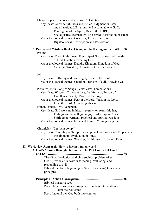Minor Prophets: Echoes and Visions of That Day Key Ideas: God's faithfulness and justice, Judgment on Israel and all nations (all nations held accountable to God), Pouring out of the Spirit, Day of the LORD, Social justice, Remnant will be saved, Restoration of Israel Major theological themes: Covenant, Justice, Faith, and Righteousness, Redemption and Restoration

#### **15. Psalms and Wisdom Books: Living and Reflecting on the Faith … 34** Psalms

Key Ideas: Torah faithfulness, Kingship of God, Praise and Worship of God, Creation revealing God.

Major theological themes: Davidic Kingdom, Kingdom of God, Creation, Worship, Ultimate victory of God over evil

#### Job

Key Ideas: Suffering and Sovereignty, Fear of the Lord, Major theological themes: Creation, Problem of evil, Knowing God

Proverbs, Ruth, Song of Songs, Ecclesiastes, Lamentations Key Ideas: Wisdom, Covenant love, Faithfulness, Person of Excellence, Vanity, Practical theology Major theological themes: Fear of the Lord, Trust in the Lord, Love the Lord, All other gods vain

Esther, Daniel, Ezra, Nehemiah

Key Ideas: God working in history even when seems hidden, Endings and New Beginnings, Leadership in Crisis, Spirit empowerment, Practical and spiritual wisdom Major theological themes: Exile and Return, Coming Kingdom

Chronicles: "Let them go up!"

Key Ideas: Centrality of Temple worship, Role of Priests and Prophets in the kingdom, Evaluation of kings,

Major theological themes: Worship, Faithfulness, Exile and Return

#### **D. Worldview Approach: How to live in a fallen world**

**16. God's Mission through Humanity: The Plot Conflict of Good and Evil ……………………………………………………………… 36**

Theodicy: theological and philosophical problem of evil Goal: provide a framework for facing, evaluating, and responding to evil Biblical theology, beginning in Genesis: (at least) four major principles

#### **17. Principle of Action-Consequence ………………………………….. 36** Biblical imagery: seed Principle: actions have consequences, unless intervention to alter their outcome Part of natural law God built into creation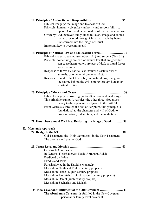|                                                                | 18. Principle of Authority and Responsibility  37                |  |  |  |
|----------------------------------------------------------------|------------------------------------------------------------------|--|--|--|
|                                                                | Biblical imagery: the image and likeness of God                  |  |  |  |
|                                                                | Principle: humanity given key authority and responsibility to    |  |  |  |
|                                                                | uphold God's rule in all realms of life in this universe         |  |  |  |
|                                                                | Given by God, betrayed and yielded to Satan, image and choice    |  |  |  |
|                                                                | remain, restored through Christ, available by being              |  |  |  |
|                                                                | transformed into the image of Christ                             |  |  |  |
|                                                                | Important key to overcoming evil                                 |  |  |  |
|                                                                | 19. Principle of Natural Law and Malevolent Forces  37           |  |  |  |
| Biblical imagery: sea monster (Gen 1:21) and serpent (Gen 3:1) |                                                                  |  |  |  |
|                                                                | Principle: some things are part of natural law that are good but |  |  |  |
|                                                                | can cause harm, others are part of dark spiritual forces         |  |  |  |
|                                                                | with evil intent                                                 |  |  |  |
|                                                                | Response to threat by natural law, natural disasters, "wild"     |  |  |  |
|                                                                | animals, or other environmental factors                          |  |  |  |
|                                                                | Response to malevolent forces beyond natural law, recognize      |  |  |  |
|                                                                | the source behind the evil coming through human or               |  |  |  |
|                                                                | spiritual entities                                               |  |  |  |
|                                                                |                                                                  |  |  |  |
|                                                                | Biblical imagery: a covering (kutonet), a covenant, and a sign   |  |  |  |
|                                                                | This principle trumps (overrules) the other three: God gives     |  |  |  |
|                                                                | mercy to the repentant, and grace to the faithful                |  |  |  |
|                                                                | From Genesis 3 through the rest of Scripture, this principle is  |  |  |  |
|                                                                | foundational to the character and will of God, to                |  |  |  |
|                                                                | bring salvation, redemption, and reconciliation                  |  |  |  |
|                                                                | 21. How Then Should We Live: Restoring the Image of God  38      |  |  |  |
| E. Messianic Approach                                          |                                                                  |  |  |  |
|                                                                |                                                                  |  |  |  |
|                                                                | Old Testament: the "Holy Scriptures" in the New Testament        |  |  |  |
|                                                                | The promise and plan of God                                      |  |  |  |
|                                                                |                                                                  |  |  |  |
|                                                                | Genesis 1-3 and Jesus                                            |  |  |  |
|                                                                | In Genesis, Foreshadowed Noah, Abraham, Judah                    |  |  |  |
|                                                                | Predicted by Balaam                                              |  |  |  |
|                                                                | <b>Exodus and Jesus</b>                                          |  |  |  |
|                                                                | Foreshadowed in the Davidic Monarchy                             |  |  |  |
|                                                                | Messiah in Ninth and Eighth century prophets                     |  |  |  |
|                                                                | Messiah in Isaiah (Eighth century prophet)                       |  |  |  |
|                                                                | Messiah in Jeremiah, Ezekiel (seventh century prophets)          |  |  |  |
|                                                                | Messiah in Daniel (sixth century prophet)                        |  |  |  |
|                                                                | Messiah in Zechariah and Malachi                                 |  |  |  |
|                                                                | 24. New Covenant fulfillment of the Old Covenant  41             |  |  |  |
|                                                                | The Abrahamic Covenant is fulfilled in the New Covenant –        |  |  |  |
|                                                                | personal or family level covenant                                |  |  |  |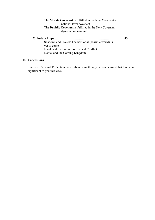#### The **Mosaic Covenant** is fulfilled in the New Covenant – national level covenant The **Davidic Covenant** is fulfilled in the New Covenant – dynastic, monarchial

25. **Future Hope ………………………………………………………… 43** Shadows and Cycles: The best of all possible worlds is yet to come Isaiah and the End of Sorrow and Conflict Daniel and the Coming Kingdom

#### **F. Conclusions**

Students' Personal Reflection: write about something you have learned that has been significant to you this week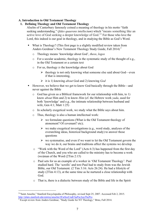#### **A. Introduction to Old Testament Theology**

#### **1. Defining Theology and Old Testament Theology**

Alselm of Canterbury famously coined a meaning of theology in his motto "faith seeking understanding." (*fides quaerens intellectum*) which "means something like an active love of God seeking a deeper knowledge of God."<sup>1</sup> For those who love the Lord, this indeed is our goal in theology, and in studying the Bible as God's Word.

- ! What is Theology? (This first page is a slightly modified review taken from Anders Gerdmar's New Testament Theology Study Guide, Fall 2014)<sup>2</sup>
	- o Theology means 'knowledge about God', *theos*, *logos*
	- o For a secular academic, theology is the systematic study of the thought of e.g., in the Old Testament or a certain text
	- o For us, theology *is* the knowledge about God
		- $\triangleright$  theology is not only knowing what someone else said about God—even if that is interesting,
		- $\triangleright$  it is 1) knowing *about* God and 2) knowing *God*
- ! However, we believe that we get to know God basically through the Bible—and never against the Bible
	- o God has given us a Biblical framework for our relationship with him, to 1) know *about* Him and 2) to know *Him* (cf. the Hebrew work *yada*, used for both 'knowledge' and e.g., the intimate relationship between husband and wife, Gen 4:1; Matt 1:25)
	- o In scholarly exegetical work, we study what the Bible says about him.
	- o Thus, theology is also a human intellectual work:
		- $\triangleright$  we formulate questions (What is the Old Testament theology of atonement? Of covenant? etc);
		- $\triangleright$  we make exegetical investigations (e.g., word study, analyses of the overarching ideas, historical background study) to answer those questions
		- $\triangleright$  we systematise, and even if we want to let the Old Testament govern the way we do it, our brains and traditions affect the systems we develop.
	- o "Work with the Word of the Lord" (Acts 6:3) has happened from the first day of the Church, and you who are called to the ministry has to become a work (wo)man of the Word (2Tim 2:15)
	- o Paul sets for us an example of a worker in 'Old Testament Theology': Paul studied hard. The 'scrolls' and text Paul had to study from was the Jewish Bible, our Old Testament. (2 Tim 3:16: Acts 26:24). He had a lifestyle of study (2Tim 4:13), at the same time as he nurtured a close relationship with God.
	- o That is, there is a dialectic between study of the Bible and life in the Spirit

 

<sup>1</sup>"Saint Anselm," Stanford Encyclopedia of Philosophy, revised Sept 25, 2007. Accessed Feb 2, 2015. http://plato.stanford.edu/entries/anselm/#FaiSeeUndChaPurAnsThePro

 $2\overline{P}$  Except review from Anders Gerdmar, "Study Guide for NT Theology," Brno, Fall 2014.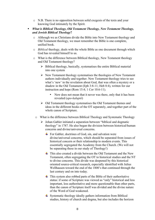- o N.B. There is no opposition between solid exegesis of the texts and your knowing God intimately by the Spirit.
- ! *What is Biblical Theology, Old Testament Theology, New Testament Theology, and Jewish Biblical Theology***?**
	- o Although we as Christians divide the Bible into New Testament theology and Old Testament theology, we must remember the Bible is one complete, unified book.
	- o *Biblical* theology, deals with the whole Bible as one document through which God has revealed himself to us.
	- o What is the difference between Biblical theology, New Testament theology and Old Testament theology?
		- $\triangleright$  Biblical theology, basically, systematises the entire Biblical material into one system
		- $\triangleright$  New Testament theology systematises the theologies of New Testament authors individually and together. New Testament theology tries to see what's 'new' in the revelation about God, that was often a mystery or a shadow in the Old Testament (Eph 3:8-11; Heb 8:4), written for our instruction and hope (Rom 15:4; 1 Cor 10:6-11).
			- New does not mean that it never was there, only that it has been revealed (*apo-kaluptô*)
		- > Old Testament theology systematises the Old Testament themes and ideas in the different books of the OT separately, and together part of the whole canon of Scripture.
		- o What is the difference between Biblical Theology and Systematic Theology
			- $\triangleright$  Johan Gabler initiated a separation between "biblical and dogmatic theology" in 1787. He also began the division between historical/human concerns and divine/universal concerns.
				- $\overline{\text{F}}$  For Gabler, doctrines of God, sin, and salvation were divine/universal concerns, which should be separated from issues of historical concern or their relationship to modern events. This essentially segregated the Academy from the Church. (We will not be separating these in our study of Theology!)
				- $\overline{\text{+}}$  This also created a divide between the Old Testament and the New Testament, often segregating the OT to historical studies and the NT to divine concerns. This divide was deepened by this historical oriented source-critical research, especially identified with Julius Wellhausen toward the end of the 1800's that continued through the last century and on into today.
				- $\overline{\text{This system also robot parts of the Bible of their authoritative}}$ status: if some of Scripture was viewed as "only" historical and less important, less authoritative and more questionable than other parts, than the canon of Scripture itself was divided and the divine nature of the Word of God weakened.
				- $\overline{\phantom{a}}$  Systematic theology ideally gathers information from Biblical studies, history of church and dogma, but also includes the horizon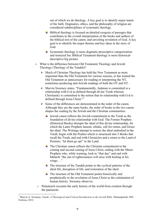out of which we do theology. A key goal is to identify major tenets of the faith. Dogmatics, ethics, and the philosophy of religion are considered subdisciplines of systematic theology.

- $\overline{\phantom{a} \phantom{a}}$  Biblical theology is focused on detailed exegesis of passages that contributes to the overall interpretation of the books and authors of the biblical text of the canon, and unveiling revelation of God. A key goal is to identify the major themes and key ideas in the story of God.
- $\overline{\phantom{a}}$  Systematic theology is more dogmatic-prescriptive categorization and itemized list. Biblical Testament theology is more historicaldescriptive big picture.
- o What is the difference between Old Testament Theology and Jewish Theology (Theology of the Tanakh)?
	- $\triangleright$  Much of Christian Theology has held the New Testament as more important than the Old Testament for various reasons, or has treated the Old Testament as unnecessary for reading or interpreting the NT, sometimes producing anti-Jewish readings of both the OT and NT.
	- $\triangleright$  Marvin Sweeney states, "Fundamentally, Judaism is committed to a relationship with G-d as defined through divine Torah whereas Christianity is committed to the notion that its relationship with G-d is defined through Jesus Christ."3
	- $\triangleright$  Some of the differences are demonstrated in the order of the canon. Although they are the same books, the order of books in the two canon shapes the reading by the Jewish and the Christian communities.
		- $\downarrow$  Jewish canon reflects the Jewish commitment to the Torah as the foundation of divine relationship with God. The Former Prophets (Historical Books) disrupts the ideal of this divine relationship, for which the Latter Prophets lament, rebuke, call for return, and forsee the ideal. The Writings attempt to restore the ideal embodied in the Torah, begin with the Psalms which is structured into 5 Books that recall the Torah, and end with Chronicles and a return to the Land of Promise, "let them go up!" to the Land.
		- $\overline{\text{F}}$  The Christian canon reflects the Christian commitment to the coming and second coming of Jesus Christ, ending with the Minor Prophets who, while warning, look to "that day" and end with Malachi "the sun of righteousness will arise with healing in his wings ..."
		- $\overline{\text{F}}$  The structure of the Tanakh points to the cyclical patterns of the ideal life, disruption of life, and restoration of the ideal.
		- $\overline{\text{I}}$  The structure of the Old Testament points historically and prophetically to the revelation of Jesus Christ as the culmination of human history. Sweeney observes:
	- o Pentateuch recounts the early history of the world from creation through the patriarchs

<sup>&</sup>lt;sup>3</sup> Marvin A. Sweeney, *Tanak: A Theological and Critical Introduction to the Jewish Bible. Minneapolish, MN:* Fortress, 2012.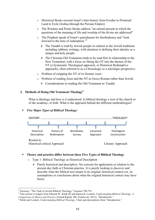- o Historical Books recount Israel's later history from Exodus to Promised Land to Exile (Joshua through the Persian Empire)
- o The Wisdom and Poetic Books address "an eternal present in which the questions of the meaning of life and worship of the divine are addressed"
- o The Prophets speak of Israel's punishment for disobedience and "look forward to the time of redemption."4
	- $\triangleright$  The Tanakh is read by Jewish people in relation to the Jewish traditions including rabbinic writings, with attention to defining their identity as a unique and holy people.
	- $\triangleright$  The Christian Old Testament tends to be read first in relationship to the New Testament, with a focus on fitting the OT into the themes of the NT (a Systematic Theological approach, or Historical Redemptive approach), often referred to as a Christologic or a teleologic perspective.
- o Problem of stripping the NT of its Semitic roots
- o Problem of reading Jesus and the NT as Greco-Roman rather than Jewish
	- $\triangleright$  Considerations in reading the Old Testament as Tanakh.

#### **2. Methods of Doing Old Testament Theology5**

What is theology and how is it understood. Is biblical theology a tool of the church or of the academy, or both. What is the approach behind the different methodologies?

#### ! *Five Major Types of Biblical Theology***:**



#### ! **Theory and practice differ between these Five Types of Biblical Theology**

- o Type 1: Biblical Theology as Historical Description
	- $\triangleright$  Purely historical and descriptive. No concern for application or relation to the present day faith or Christian practice. It is purely looking to discover and describe what the biblical text meant in its original, historical context (or, its assumptions or conclusions about what the original historical context may have been).

<sup>&</sup>lt;sup>4</sup> Sweeney, "The Task of Jewish Biblical Theology," location 790-791.<br><sup>5</sup> This section is largely from Edward W. Klink III and Darian R. Lockett, *Understanding Biblical Theology: A Comparison of Theory and Practice (Gran* 

<sup>&</sup>lt;sup>6</sup> Klink and Lockett, *Understanding Biblical Theology*, Chart and descriptions from "Introduction."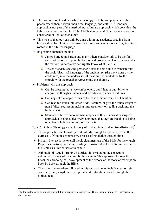- $\triangleright$  The goal is to seek and describe the theology, beliefs, and practices of the people "back then," within their time, language, and culture. A canonical approach is not part of this method, nor a literary approach which considers the Bible as a whole, unified text. The Old Testament and New Testament are not considered in light of each other.
- $\triangleright$  This type of theology can only be done within the academy, drawing from historical, archaeological, and material culture and studies as an exegetical task rooted in the biblical language.
- $\triangleright$  Its positive elements include:
	- $\ddot{+}$  James Barr, John Barton and many others consider this to be the first step, not the only step, in the theological process: we have to know what the text *meant* before we can rightly know what it *means*.
	- $\overline{\text{+}}$  Krister Stendahl sees the preacher's task as being able to translate first the socio-historical language of the ancient text (the work done by the academics) into the modern social location (the work done by the church, with the preacher representing the church).
- $\triangleright$  Problems with this approach

 

- $\perp$  Can be presumptuous: we can be overly confident in our ability to analyze the thoughts, intents, and worldview of ancient cultures
- $\pm$  Can neglect the larger corpus of the canon, either Jewish or Christian
- $\overline{\phantom{a}}$  Can read too much into other ANE literature, or give too much weight to non-biblical sources in making interpretations, or reading back into the biblical text.
- $\overline{\phantom{a}}$  Stendahl criticizes scholars who emphasize this Historical descriptive approach as being subjectively convinced that they are capable of being objective scholars who only see the facts.
- o Type 2: Biblical Theology as the History of Redemption (Redemptive-Historical)<sup>7</sup>
	- $\triangleright$  This approach looks to history as it unfolds through Scripture to reveal the purposes of God in a progressive process of revelation through time.
	- $\triangleright$  Primary interest is the overall theological message of the Bible for the church. Requires sensitivity to literary reading. Christocentric focus. Requires view of the Bible as a unified narrative whole.
	- $\triangleright$  Although this type is strongly historical, it is rooted in the concept of redemptive history of the entire biblical canon. This approach follows the linear, or chronological, development of the history of the story of redemption book by book through the Bible.
	- $\triangleright$  The major themes often followed in this approach may include creation, sin, covenant, land, kingdom, redemption, and restoration, traced through the biblical text.

<sup>7</sup> In the textbook by Klink and Lockett, this approach is descriptive of D. A. Carson, similar to Geerhardus Vos, and Rosner.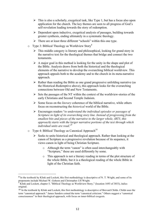- $\triangleright$  This is also a scholarly, exegetical task, like Type 1, but has a focus also upon application for the church. The key themes are seen to all progress of God's self-revelation leading towards the story of redemption.
- $\triangleright$  Dependent upon inductive, exegetical analysis of passages, building towards greater synthesis, ending ultimately in a systematic theology.
- $\triangleright$  There are at least three different "schools" within this one type.
- $\circ$  Type 3: Biblical Theology as Worldview Story<sup>8</sup>
	- $\triangleright$  This middle category is literary and philosophical, looking for grand story in the narrative text for the theological themes that bridge and connect the two testaments.
	- $\triangleright$  A major goal in this method is looking for the unity in the shape and plot of the Bible. Analysis draws from both the historical and the theological elements of the narrative to develop the overarching biblical worldview. This approach appeals both to the academy and to the church in its meta-narrative approach.
	- $\triangleright$  Rather than reading the Bible as one grand progressive unfolding narrative (as the Historical-Redemptive above), this approach looks for the overarching connections between Old and New Testaments.
	- $\triangleright$  Sets the passages of the NT within the context of the worldview-stories of the early Christians and Second Temple Judaism.
	- Some focus on the *literary* coherence of the biblical narrative, while others focus on reconstructing the *historical* world of the Bible.
	- " Encourages readers "*to understand the individual episodes or passages of Scripture in light of its overarching story line. Instead of progressing from the smallest bits and pieces of the narrative to the larger whole, (BT3, this approach) starts with the larger narrative portions of the text through which individual units are read*."9
- $\circ$  Type 4: Biblical Theology as Canonical Approach<sup>10</sup>

 

- $\triangleright$  Seeks to unite historical and theological approach. Rather than looking at the canon of Scripture as a progressive revelation because of its sequence, it views canon in light of being Christian Scripture.
	- o Although the term "canon" is often used interchangeably with "Scripture," these are used differently by some.
	- o This approach is not a literary reading in terms of the plot structure of the whole Bible, but it is a theological reading of the whole Bible in light of the Christian faith.

<sup>&</sup>lt;sup>8</sup> In the textbook by Klink and Lockett, this first methodology is descriptive of N. T. Wright, and some of its proponents include Michael W. Goheen and Christopher J.H Wright.

 $\overrightarrow{9}$  Klink and Lockett, chapter 5, "Biblical Theology as Worldview-Story," (location 1693 of 3853), italics original.

<sup>10</sup> In the textbook by Klink and Lockett, this first methodology is descriptive of Brevard Childs. Childs uses the term "canonical approach." James Sanders coined the term "canonical criticism." Others suggest a "canonical consciousness" in their theological approach, with focus on inner-biblical exegesis.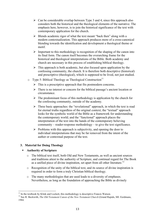- $\triangleright$  Can be considerable overlap between Type 3 and 4, since this approach also considers both the historical and the theological elements of the narrative. The emphasis here, however, is to join the historical significance of the text with contemporary application for the church.
- $\triangleright$  Blends academic rigor of what the text meant "back then" along with a modern contextualization. This approach produces more of a cross-canonical blending towards the identification and development a theological theme or motif.
- $\triangleright$  Important to this methodology is recognition of the shaping of the canon into its final form. The canon itself becomes the overarching frame for the historical and theological interpretations of the Bible. Both academy and church are necessary in this process of establishing biblical theology.
- $\triangleright$  This approach is both academic, but also focused upon application by the confessing community, the church. It is therefore both descriptive (historical) and prescriptive (theological), which is supposed to be lived, not just studied.
- $\circ$  Type 5: Biblical Theology as Theological Construction<sup>11</sup>
	- $\triangleright$  This is a prescriptive approach that fits postmodern concerns.
	- $\triangleright$  There is no interest or concern for the biblical passage's ancient location or circumstance.
	- $\triangleright$  The predominant focus of this methodology is application by the church for the confessing community, outside of the academy.
	- $\triangleright$  Three basic approaches: the "revelational" approach, in which the text is read for eternal truths regardless of the original context; the "textual" approach looks for the symbolic world of the Bible as a framework for understanding the contemporary world; and the "functional" approach places the interpretation of the text into the hands of the contemporary believing community – reader-response methodology – to give the text significance.
	- $\triangleright$  Problems with this approach is subjectivity, and opening the door to individual interpretations that may be far removed from the intent of the author or contextual purpose of the text.

#### **3. Material for Doing Theology**

#### ! **Authority of Scripture**

- o The biblical text itself, both Old and New Testaments, as well as ancient sources and traditions attest to the authority of Scripture, and continual regard for The Book as a unified piece of divine inspiration, set apart from all other literature.<sup>12</sup>
- o Recognition of the unity of the biblical text, and its source of divine inspiration is required in order to form a truly Christian biblical theology.
- o The many methodologies that are used leads to a diversity of emphases. Nevertheless, as long as the foundation of approaching the Bible as divinely

<sup>&</sup>lt;sup>11</sup> In the textbook by Klink and Lockett, this methodology is descriptive Francis Watson.<br><sup>12</sup> See R. Beckwith, *The Old Testament Canon of the New Testament Church* (Grand Rapids, MI: Eerdmans, 1984.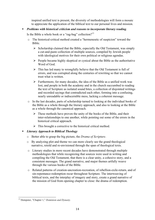inspired unified text is present, the diversity of methodologies will form a mosaic to appreciate the application of the biblical text to our personal lives and mission.

! *Problems with historical criticism and reasons to incorporate literary reading*.

Is the Bible a whole book or a "rag-bag" collection?<sup>13</sup>

- o The historical-critical method created a "hermeneutic of suspicion" toward the Bible.
	- $\triangleright$  Scholarship claimed that the Bible, especially the Old Testament, was simply a cut-and-paste collection of multiple sources, compiled by Jewish people with ideological motives for their own political or religious agendas.
	- $\triangleright$  People became highly skeptical or cynical about the Bible as the authoritative Word of God.
	- $\triangleright$  This has led many to wrongfully believe that the Old Testament is full of errors, and was corrupted along the centuries of rewriting so that we cannot trust what is written.
	- $\triangleright$  Furthermore, for many decades, the idea of the Bible as a unified work was lost, and people in both the academy and in the church succumbed to reading the text of Scripture as isolated sound bites, a collection of disjointed writings and recorded sayings that contradicted each other, forming into a confusing, nearly unreadable or indiscernible mess, lacking a coherent message.
- o In the last decades, parts of scholarship turned to looking at the individual books of the Bible as a whole through the literary approach, and also to looking at the Bible as a whole through the canonical approach.
	- $\triangleright$  These methods have proven the unity of the books of the Bible, and their inter-relationships to one another, while pointing out some of the errors in the historical critical approach.
	- $\triangleright$  This brought a corrective to the historical critical method.

#### ! *Literary Approach to Biblical Theology*

- o Better able to grasp the big picture, the *Drama of Scripture*.
- o By analyzing plot and theme we can more clearly see the grand theological narrative, retold and re-envisioned through the span of theological texts.
- o Literary studies in more recent decades have demonstrated through multiple methodologies that while recognizing that sources were used in writing and compiling the Old Testament, that there is a clear unity, a cohesive story, and a consistent messages. The grand narrative, and major themes artfully weave through the various books of the Bible.
- o Related patterns of creation-uncreation-recreation, of rebellion-exile-return, and of sin-repentance-redemption recur throughout Scripture. The interweaving of biblical texts, and the interplay of imagery and story, create a grand narrative of the mission of God from opening chapter to close: the drama of redemption.

 <sup>13</sup> Dempster, "Chapter 1," *Dominion and Dynasty.*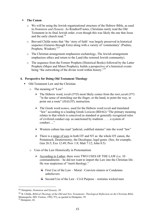#### ! **The Canon**

- o We will be using the Jewish organizational structure of the Hebrew Bible, as used in *Dominion and Dynasty*. As Rendtorff notes, Christians rarely read the Old Testament in its final Jewish order, even though this was likely the one that Jesus and the early church read.<sup>14</sup>
- o Brevard Childs notes that "the 'story of faith' was largely preserved in historical sequence (Genesis through Ezra) along with a variety of 'commentary' (Psalms, Prophets, Wisdom)."<sup>15</sup>
- o The Christian arrangement emphasizes eschatology, The Jewish arrangement emphasizes ethics and return to the Land (the restored Jewish community).
- o The sequence from the Former Prophets (Historical Books) followed by the Latter Prophets (Major and Minor Prophets), builds a perspective of a historical events being "the outworking of the divine word within history."<sup>16</sup>

#### **4. Perspective for Doing Old Testament Theology**

- ! Old Testament Law and the Christian
	- o The meaning of "Law"
		- " The Hebrew word, *torah* (תוֹרה (most likely comes from the root *yarah* (ירה ( "in the sense of stretching out the finger, or the hand, to point the way, to point out a route" (*HALOT*); instruction.
		- " The Greek word *nomos,* used for the Hebrew word *torah* and translated "law" according to a leading Greek Lexicon (BDAG) "The primary meaning relates to that which is conceived as standard or generally recognized rules of civilized conduct esp. as sanctioned by tradition . . . . a system of conduct "
		- $\triangleright$  Western culture has read "judicial, codified statutes" into the word "law"
		- $\triangleright$  There is a range of uses in both OT and NT as: the whole OT canon, the Pentateuch, Deuteronomy, the Decalogue, legal genre. (See, for example, Gen 26:5; Exo 12:49; Prov 1:8; Matt 7:12; John 8:5)
	- o Uses of the Law Historically in Protestantism
		- $\triangleright$  According to Luther, there were TWO USES OF THE LAW (i.e. 10) commandments – he did not want to import the Law into the Christian life. He was suspicious of "merit theology."
			- First Use of the Law Moral Convicts sinners or Condemns unbelievers
			- $\overline{\phantom{a}}$  Second Use of the Law Civil Purpose restrains wicked men

 

<sup>14</sup> Dempster, *Dominion and Dynasty*, 38

<sup>15</sup> B. Childs, *Biblical Theology of the Old and New Testaments: Theological Reflection on the Christian Bible*. Minneapolis, MN: Fortess, 1992, 97), as quoted in Dempster, 39.<br><sup>16</sup> Dempster, 42.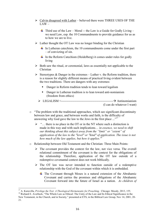- $\triangleright$  Calvin disagreed with Luther believed there were THREE USES OF THE  $LAW -$ 
	- $\overline{\phantom{a}+}$  Third use of the Law Moral -- the Law is a Guide for Godly Living we need Law, esp. the 10 Commandments to provide guidance for us as to how we are to live.
- $\triangleright$  Luther thought the OT Law was no longer binding for the Christian
	- $\frac{1}{\sqrt{1}}$  In Lutheran catechism, the 10 commandments come under the first part – of convicting of sin.
	- $\ddot{\text{I}}$  In the Reform Catechism (Heidelberg) it comes under rules for godly living
- $\triangleright$  Both saw the ritual, or ceremonial, laws as essentially not applicable to the Christian
- $\triangleright$  Stereotypes & Danger in the extremes Luther v. the Reform tradition, there is a reason for slightly different means of practical living evident between the two traditions. There are dangers with any extremes:
	- **•** Danger in Reform tradition tends to lean toward legalism
	- ! Danger in Lutheran tradition is to lean toward anti-nomianism (freedom from ethics)
	- " LEGALISM <--------------------------------------------------# Antinomianism (I can do whatever I want)
- o "The problem with the traditional approaches, which see significant discontinuity between law and grace, and between works and faith, is the difficulty of answering why God gave the law to the Jews in the first place  $\ldots$ <sup>17</sup>
	- $\triangleright$  "... there is no place in the OT or in the NT where such a distinction is made in this way and with such implications… i*n essence, we need to shift our thinking about this subject away from the "limit" or "extent" of application of the law to the "level" or "kind" of application. The issue is not how much of the law applies, but how it applies. 18*
- o Relationship between Old Testament and the Christian: Three Main Points:
	- $\triangleright$  The covenant provides the context for the law, not vice versa. The overall relational commitment of the covenant is the context for the obligations of the relationship. Therefore, application of the OT law outside of a redemptive covenantal context does not work biblically.
	- $\triangleright$  The OT law was never intended to function outside of a redemptive relationship with the God of the covenant within which it is embedded.
		- $\pm$  The Covenant through Moses is a natural extension of the Abrahamic Covenant and carries the promises and obligations of the Abrahamic Covenant forward into the future of Israel as a nation. *As children of*

<sup>&</sup>lt;sup>17</sup> A. Kuruvilla, *Privilege the Test: A Theological Hermeneutic for Preaching, Chicago: Moody, 2013, 155.* <sup>18</sup> Richard E. Averbeck, "The Whole Law as Ethical: The Unity of the Law and Its Ethical Significance in the New Testament, in the Church, and in Society," presented at ETS, in the Biblical Law Group, Nov 14, 2001, 20- 21.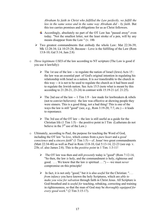*Abraham by faith in Christ who fulfilled the Law perfectly, we fulfill the law in the same sense and in the same way Abraham did – by faith*. But this too carries promises and obligations for us as Christ followers.

- $\overline{\phantom{a}}$  Accordingly, absolutely no part of the OT Law has "passed away" even today. "Not the smallest letter, not the least stroke of a pen, will by any means disappear from the Law " (v. 18b
- $\triangleright$  Two greatest commandments that embody the whole Law: Mat 22:36-39; Mk 12:28-34; Lk 10:25-28; Because - Love is the fulfilling of the Law (Rom 13:8-10; Gal 5:14; Jam 2:8)
- o *Three legitimate USES* of the law according to NT scripture (The Law is good if you use it lawfully):
	- $\triangleright$  The 1st use of the law -- to regulate the nation of Israel (Jews) Acts 15 : the law was an essential part of God's original intention in regulating his relationship with Israel as a nation. It is *not* transferable to the church in this way -- it is not to be used to regulate the church as it had been used to regulate the Jewish nation. See Acts 15:5 (note what is meant by this according to 21:20-21, 23-24) in contrast with 15:19-21 (cf. 21:25).
	- $\triangleright$  The 2nd use of the law -- 1 Tim 1:9 law made for lawbreakers & rebels (not to convict believers): the law was effective at showing people they were sinners. This is a good thing, not a bad thing! This is one of the ways the law is still "good" (see, e.g., Rom  $3:19-20$ ; 7:7, etc.) -- it leads to repentance.
	- $\triangleright$  The 3rd use of the OT law -- the law is still useful as a guide for the Christian life  $(1 \text{ Tim } 1:5)$  – the positive point in I Tim (Lutherans do not believe in the  $3<sup>rd</sup>$  use of the Law.)
- o Ultimately, according to Paul, the purpose for teaching the Word of God, including the OT law "is *love*, which comes from a *pure heart* and a *good conscience* and a *sincere faith*" (1 Tim 1:5) -- cf. Jesus' two great commandments (Matt 22:34-40) as well as Paul in Rom 13:8-10, Gal 5:13-14, 22-23 (see esp. v. 23b; cf. also James 2:8). This is the *positive point* in 1 Tim. 1:3-11!
	- $\triangleright$  The OT law was then and still *presently* today is "good" (Rom 7:12-14, "So then, the law *is* holy, and the commandment *is* holy, righteous and good. . . . We know that the law *is* spiritual . . .") -- -we must *never* compromise on this principle!
	- > In fact, it is not only "good," but it is also *useful* for the Christian: "... *from infancy* you have known the holy Scriptures, which are *able to make you wise for salvation* through faith in Christ Jesus. All Scripture is God-breathed and is *useful for* teaching, rebuking, correcting and training in righteousness, so that the man of God may be *thoroughly equipped for every good work*." (2 Tim 3:15-17).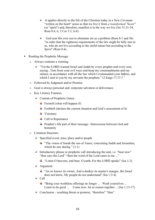- $\triangleright$  It applies directly to the life of the Christian today in a New Covenant "written on the heart" sense so that we live it from *a transformed "heart"* (or "spirit") and, therefore, manifest it in the way we live (Jer 31:31-34, Rom 8:4, 6, 2 Cor 3:3, 6-8).
- $\triangleright$  God sent His own son to eliminate sin as a problem (Rom 8:1 and 3b) "in order that the righteous requirements of the law might be fully met in us, who do not live according to the sinful nature but according to the *Spirit*" (Rom 8:4).
- ! Reading the Prophetic Message
	- o Always contains a warning:
		- $\triangleright$  "Yet the LORD warned Israel and Judah by every prophet and every seer, saying , Turn from your evil ways and keep my commandments and my statues, in accordance with all the law which I commanded your fathers, and which I sent to you by my servants the prophets."  $(2 \text{ kings } 17:13)^{1/2}$
	- o Followed by Judgment and/or Promise
	- o Goal is always personal and/ corporate salvation or deliverance
	- o Key Literary Features
		- $\triangleright$  Content of Prophetic Genre:
			- Foretell (what will happen if)
			- Forthtell (declare the current situation and God's assessment of it)
			- $\overline{\phantom{a}}$  Visionary
			- $\leftarrow$  Call to Repentance
			- $\overline{\phantom{a}}$  Prophet's life part of their message– Intercession between God and humanity
	- o Common Structure:
		- $\triangleright$  Specified event, time, place and/or people
			- $\ddot{\text{ }}$  "The vision of Isaiah the son of Amoz, concerning Judah and Jerusalem, which he saw during  $" (1:1)$
		- $\triangleright$  Introductory phrase or prophetic call introducing the unit, i.e. "hear now" "thus says the Lord" "then the word of the Lord came to me ..."
			- $\ddot{+}$  "Listen O heavens, and hear, O earth, For the LORD speaks" (Isa 1:2).
		- $\triangleright$  Argument
			- "An ox knows its owner, And a donkey its master's manger, *But* Israel does not know, My people do not understand" (Isa 1:3-4).
		- $\triangleright$  Call
			- $\overline{\text{F}}$  "Bring your worthless offerings no longer ... Wash yourselves ... Learn to do good ... Come now, let us reason together ... (Isa 1:13-17)
		- $\triangleright$  Conclusion resulting threat or promise, "therefore" "thus"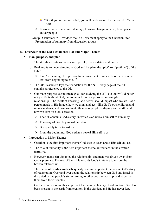- $\ddot{+}$  "But if you refuse and rebel, you will be devoured by the sword ..." (Isa 1:20)
- $\triangleright$  Episode marker: next introductory phrase or change in event, time, place and/or people.

Group Discussions:\* How does the Old Testament apply to the Christian life? Presentation of summary from discussion groups

#### **5. Overview of the Old Testament: Plot and Major Themes**

#### ! **Plan, purpose, and plot**

- The storyline contains facts about: people, places, dates, and events
- o Real key is an understanding of God and his plan, the "plot" (or "plotline") of the Bible
	- $\triangleright$  Plot " a meaningful or purposeful arrangement of incidents or events in the text from beginning to end."<sup>19</sup>
- o The Old Testament lays the foundation for the NT. Every page of the NT contains a reference to the Old.
- o Our main purpose, our ultimate goal, for studying the OT is to know God better, not just facts about God, but to know Him in a personal, meaningful, relationship. The result of knowing God better, should impact who we are – as a person made in His image; how we think and act – like God's own children and representatives; and how we treat others – as people of dignity and worth; and how we care for God's creation
	- $\triangleright$  The OT contains God's story, in which God reveals himself to humanity.
	- $\triangleright$  The story of God begins with creation
	- $\triangleright$  But quickly turns to history:
	- $\triangleright$  From the beginning, God's plan is reveal Himself to us.
- ! Introduction to Major Themes
	- $\circ$  Creation is the first important theme God uses to teach about Himself and us.
	- o The role of humanity is the next important theme, introduced in the creation narrative.
	- o However, man's **sin** disrupted the relationship, and man was driven away from God's presence. The rest of the Bible records God's initiative to restore the broken relationship.
	- o The theme of **exodus and exile** quickly become important themes in God's story of redemption. Over and over again, the relationship between God and Israel is disrupted by the people's sin in turning to other gods to worship, and to deliver them from their troubles.
	- o God's **presence** is another important theme in the history of redemption. God has been present in the earth from creation, in the Garden, and He has never left.

 <sup>19</sup> Dempster, *Dominion and Dynasty,* 45.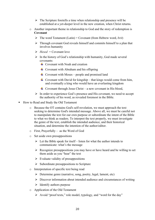- $\triangleright$  The Scripture foretells a time when relationship and presence will be established at a yet-deeper level in the new creation, when Christ returns.
- o Another important theme in relationship to God and the story of redemption is **Covenant**
	- $\triangleright$  The word Testament (Latin) = Covenant (from Hebrew word, *brit*)
	- $\triangleright$  Through covenant God reveals himself and commits himself to a plan that involves humanity
	- $\triangleright$  *Hesed* = Covenant love
	- $\triangleright$  In the history of God's relationship with humanity, God made several covenants:
		- $\triangle$  Covenant with Noah and creation
		- Covenant with Abraham and his offspring
		- $\overline{\phantom{a}}$  Covenant with Moses people and promised land
		- $\overline{\phantom{a}}$  Covenant with David for kingship that kings would come from him, and eventually a king who would have an everlasting kingdom
		- $\overline{\text{L}}$  Covenant through Jesus Christ a new covenant in His blood,
	- $\triangleright$  In order to experience God's presence and His covenant, we need to accept the authority of his word, as revealed foremost in the Bible.
- ! How to Read and Study the Old Testament
	- o Because the OT contains God's self-revelation, we must approach the text seeking to determine God's intended message. Above all, we must be careful not to manipulate the text for our own purpose or subordinate the intent of the Bible to what we think as readers. To interpret the text properly, we must investigate the genre of the text, establish the intended audience, and their historical situation, and determine the intention of the author/editor.
	- o First, Prayerfully as the Word of God
	- o Set aside own presuppositions
		- $\triangleright$  Let the Bible speak for itself listen for what the author intends to communicate: what's the message
		- $\triangleright$  Recognize presuppositions you may have or have heard and be willing to set them aside as you "hear" the text
		- $\triangleright$  Evaluate validity of presuppositions
		- $\triangleright$  Subordinate presuppositions to Scripture
	- o Interpretation of specific text being read
		- $\triangleright$  Determine genre (narrative, song, poetry, legal, lament, etc)
		- $\triangleright$  Discover information about intended audience and circumstances of writing
		- $\triangleright$  Identify authors purpose
	- o Application of the Old Testament
		- $\triangleright$  Avoid "proof texts," role model, typology, and "word for the day"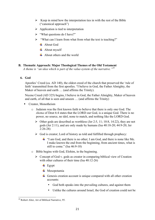- $\triangleright$  Keep in mind how the interpretation ties in with the rest of the Bible ("canonical approach")
- $\triangleright$  Application is tied to interpretation
- $\triangleright$  "What questions do I have?"
- $\triangleright$  "What can I learn from what from what the text is teaching?"
	- $\overline{\phantom{a}}$  About God
	- $\overline{\phantom{a}}$  About myself
	- $\overline{\text{4}}$  About others and the world

#### **B. Thematic Approach: Major Theological Themes of the Old Testament**

*A theme is "an idea which is part of the value-system of the narrative."20*

#### **6. God**

Apostles' Creed (ca. AD 140), the oldest creed of the church that preserved the 'rule of faith' transmitted from the first apostles. "I believe in God, the Father Almighty, the Maker of heaven and earth ... (and affirms the Trinity).

Nicene Creed (AD 325) begins, I believe in God, the Father Almighty, Maker of heaven and earth, of all that is seen and unseen … (and affirms the Trinity)

- Creator, Monotheism
	- $\circ$  Judaism was the first known faith to believe that there is only one God. The *shema* of Deut 6:4 states that the LORD our God, is a unique God. There is no power, no source, no idol, none to match, and nothing like the LORD God.
		- $\triangleright$  Other gods are described as worthless (Jer 2:5, 11; 10:8, 14:22), they are not gods (Jer 2:11), and are only made by humans (Isa 40:18-20; 44:9-20; Jer 2:26-28)
		- $\triangleright$  God is creator; Lord of history as told and fulfilled through prophecy:
			- $\ddot{+}$  "I am God, and there is no other; I am God, and there is none like Me. I make known the end from the beginning, from ancient times, what is still to come." (Isa 46:9-10)
	- o Bible begins with God, Elohim, in the beginning.
		- $\triangleright$  Concept of God v. gods as creator in comparing biblical view of Creation with other cultures of their time (Isa 40:12-26)
			- $\overline{\phantom{a}}$  Egypt
			- $\blacksquare$  Mesopotamia
			- $\overline{\phantom{a}}$  Genesis creation account is unique compared with all other creation accounts:
				- God both speaks into the prevailing cultures, and against them
				- Unlike the cultures around Israel, the God of creation could not be

 <sup>20</sup> Robert Alter, Art of Biblical Narrative, 95.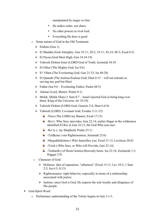manipulated by magic or rites

- He makes order, not chaos
- No other powers to rival God
- Everything He does is good
- o Some names of God in the Old Testament
	- $\triangleright$  Elohim (Gen 1)
	- $\triangleright$  El Shaddai (God Almighty; Gen 35:11; 28:3; 35:11; 43;14; 48:3; Exod 6:3)
	- $\triangleright$  El Elvon (God Most High; Gen 14:18-19)
	- > Yahweh Elohim Emet (LORD God of Truth; Jeremiah 10:10
	- $\triangleright$  El Gibor (The Mighty God; Isa 9:6)
	- $\triangleright$  El 'Olam (The Everlasting God; Gen 21:33; Isa 40:28)
	- $\triangleright$  El Qannah (The Jealous/Zealous God; Deut 6:15 will not tolerate us serving any god but Him)
	- $\triangleright$  Father (Isa 9:6 Everlasting Father; Psalm 68:5)
	- $\triangleright$  Adonai (Lord, Master; Psalm 8:1)
	- $\triangleright$  Melek, Melek Olam (1 Sam 8:7 Israel rejected God as being king over them; King of the Universe; Jer 10:10)
	- > Yahweh Elohim (LORD God; Genesis 2:4; Deut 6:4-9)
	- > Yahweh (LORD, Covenant God; Exodus 3:11-15)
		- $\overline{\text{+}}$  -Nissi (The LORD my Banner; Exod 17:15)
		- $\ddot{+}$  -Roi (- Who Sees /provides; Gen 22:14; earlier Hagar in the wilderness identified El Roi in Gen 16:13, the God Who sees me)
		- $\leftarrow$  -Ro'iy (- my Shepherd; Psalm 23:1)
		- $\ddot{\text{+}}$  -Tzidkenu (-our Righteousness; Jeremiah 23:6)
		- -Meqoddishchem (-Who Sanctifies you: Exod 31:13; Leviticus 20:8)
		- $\ddot{+}$  -Yireh (-Who Sees, or Who will Provide; Gen 22:14)
		- $\ddot{+}$  -Tsebaoth (-of Hosts/Armies/Heavenly hosts: Isa 22:14; Zechariah 1:3; Haggai 2:9)
	- o Character of God:
		- $\triangleright$  Holiness: idea of separation, "otherness" (Exod 15:11; Lev 10:3; 1 Sam 2:2; Isa 6:3; 8;13)
		- $\triangleright$  Righteousness: right behavior, especially in terms of a relationship; associated with justice
		- $\triangleright$  Jealous: since God is God, He expects the sole loyalty and allegiance of His people
- God-Spirit-Word
	- o Preliminary understanding of the Trinity begins in Gen 1:1-3.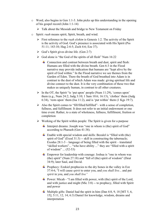- o Word, also begins in Gen 1:1-3. John picks up this understanding in the opening of his gospel record (John 1:1-14)
	- $\triangleright$  Talk about the Messiah and bridge to New Testament on Friday
- o Spirit: *ruah* means spirit, Spirit, breath, and wind.
	- $\triangleright$  First reference to the *ruah elohim* is Genesis 1:2. The activity of the Spirit is the activity of God. God's presence is associated with His Spirit (Pss 51:11; 143:10; Hag 2:4-5; Zech 4:6; Eze 37).
	- $\triangleright$  God's Spirit gives divine life. (Gen 2:7)
	- $\triangleright$  God alone is "the God of the spirits of all flesh" Num 16:22
		- $\overline{\phantom{a}}$  Connection and contrast between breath and dust, spirit and flesh: Humans are filled with the divine breath. Gen 6:3 in the Flood narrative may provide indication that humans are "kept alive by the spirit of God within." In the Flood narrative we see themes from the Garden of Eden. There the breath of God breathed into Adam is in contrast to the dust of which Adam was made: giving spiritual life and divine connect to the dust. It is the very combination of these two that makes us uniquely human, in contrast to all other creatures.
	- $\triangleright$  In the OT, the Spirit "is 'put upon' people (Num 11:29), 'comes upon' them (e.g., Num 24:2; Judg 3:10; 1 Sam 10:6; 16:13), 'clothes' them (Judg 6:34), 'rests upon' them (Isa 11:2), and is 'put within' them (1 Kgs 19:7).
	- $\triangleright$  Also the Spirit comes to "fill/filled/fulfilled"– with a sense of completion, fullness, and fulfillment. It does not refer to an initial endowment or one time event. Rather, to a state of wholeness, fullness, fulfillment, fruition or completion
	- $\triangleright$  Working of the Spirit within people: The Spirit is given for a purpose
		- $\ddagger$  Interpret dreams: Joseph was "one in whom is (the) spirit of God" according to Pharaoh (Gen 41:38).
		- $\ddot{+}$  Enable with special wisdom and skills: Bezalel is "filled with (the) spirit of God" (Exod 31:3) -- skill in constructing the tabernacle; Exodus 28:1-3 – language of being filled with the spirit – translated "skilled workers"... "who have ability ..." they are "filled with a spirit of wisdom" ... (52-53)
		- Empower for leadership with courage: Joshua is "one in whom was (the) spirit" (Num 27:18) and "full of (the) spirit of wisdom" (Deut 34:9); later Saul, and David.
		- $\overline{\phantom{a}}$  Prophecy: Ezekiel prophecies to the dry bones in the valley in Eze 37:4-6, "I will cause *spirit* to enter you, and *you shall live.*.. and put *spirit* in you, and *you shall live"*
		- $\ddot{\text{+}}$  Power: Micah "I am filled with power, with (the) spirit of the Lord, and with justice and might (Mic 3:8) -- to prophecy, filled with Spirit and power
		- $\overline{\phantom{a}}$  Multiple gifts: Daniel had the spirit in him (Dan 4:8, 9, 18 [MT 5, 6, 15]; 5:11, 12, 14; 6:3) Daniel for knowledge, wisdom, dreams and interpretation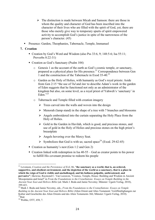- $\triangleright$  The distinction is made between Micah and Samson: there are those in whom the quality and character of God has been inscribed into the character of their lives who are filled with the spirit of God, yet, there are those who merely give way to temporary spurts of spirit empowered activity to accomplish God's justice in spite of the narrowness of the person's character. (45)
- ! Presence: Garden, Theophanies, Tabernacle, Temple, Immanuel

#### **7. Creation**

- $\blacksquare$  Creation by God's Word and Wisdom (also Pss 33:6, 9: 148:5-6; Isa 55:11; Proverbs 8:22-31)
- ! Creation as God's Sanctuary (Psalm 104)
	- o Genesis 1 as the account of the earth as God's cosmic temple, or sanctuary, prepared as a physical place for His presence.<sup>21</sup> Correspondence between Gen 1 and the construction of the Tabernacle in Exod 35-40.<sup>22</sup>
	- o Garden as the Holy of Holies, with humanity as God's royal priests: Aside from Gen 2:15 "the use of *( bd* and *šmr* to describe Adam's work in the garden of Eden suggests that he functioned not only as an administrator of the kingdom but also, on some level, as a royal priest of Yahweh's 'sanctuary' in Eden $^{323}$
	- o Tabernacle and Temple filled with creation imagery
		- $\triangleright$  Trees carved into the walls and woven into the design
		- $\triangleright$  Menorah (lamp stand) in the shape of a tree with 7 branches and blossoms
		- $\triangleright$  Angels embroidered into the curtain separating the Holy Place from the Holy of Holies.
		- $\triangleright$  Gold in the Garden in Havilah, which is good, and precious stones, and use of gold in the Holy of Holies and precious stones on the high priest's breastplate
		- $\triangleright$  Angels hovering over the Mercy Seat.
		- Symbolizes that God is with us; sacred space<sup>24</sup> (Exod. 29:42-45)
- Creation as humanity's nest (Gen 1:2 and Gen 2)
- $\blacksquare$  Creation linked with redemption in Isa 40-55 God as creator points to his power to fulfill His covenant promise to redeem his people

 <sup>21</sup> Levenson, *Creation and the Persistence of Evil*, 86, "**the sanctuary as a world, that is, an ordered, supportive, and obedient environment, and the depiction of the world as a sanctuary, that is a place in which the reign of God is visible and unchallenged, and his holiness palpable, unthreatened, and pervasive"**; likewise, Raymond C. Van Leeuwen, "Cosmos, Temple, House: Building and Wisdom in Ancient Mesopotamia and Israel" in *From the Foundations to the Crenellations: Essays on Temple Building in the Ancient Near East and Hebrew Bible* (ed. Mark J. Boda and Jamie Novotny; Münster: Ugarit-Verlag, 2010), 399-421. <sup>22</sup> Mark J. Boda and Jamie Novotny, eds., *From the Foundations to the Crennellations: Essays on Temple* 

*Building in the Ancient Near East and Hebrew Bible* (Alten Orient und Altes Testament: Veröffentlighungen zur Kultur und Geschichte des Alten Orients und des Alten Testaments 366; Münster: Ugarit-Verlag, 2010).<br><sup>23</sup>Ibid

<sup>&</sup>lt;sup>24</sup> Waltke, OTT, 458, 7.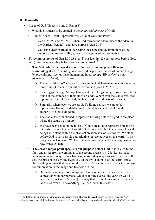#### **8. Humanity**

- Image of God (Genesis 1 and 2, Psalm 8)
	- o What does it mean to be created in the *image and likeness* of God?
	- o Biblical View: Royal Representative, Child of God, and Priest
		- $\triangleright$  Gen 1:26-28, and 2:7-24 -- When God formed the adam, placed the adam in the Garden (Gen 2:7), and gave purpose (Gen 2:15)
		- $\triangleright$  God gave clear instructions regarding the scope and the limitations of the authority and responsibility given to his appointed representative.
- **Three major points** of Gen 1:26-28 are: (1) our identity, (2) our purpose before God, and (3) our responsibility before God and to the world.<sup>25</sup>
	- o **The first point which speaks to our identity is the image and likeness terminology itself:** According to v. 26, God began the creation of human beings by proclaiming, "Let us make humankind in our *image* (Hb. *tselem*) as our *likeness* (Hb. *de mut*), . . ." (v. 26a).
		- $\triangleright$  The term "likeness" appears 21 times in the Old Testament in addition to the three times it refers to our "likeness" to God (Gen 1:26; 5:1, 3).
		- $\triangleright$  From Egypt through Mesopotamia, statues of kings and governors have been found at the entrance of their cities or lands. Where ever the statue was, that represented the rule, the land, the laws, and the authority of the ruler.
		- $\triangleright$  Similarly, where ever we are, as God's living statues, we are to be representing His rule, establishing His land, laws, and upholding the authority of God's kingdom.
		- $\triangleright$  The statue itself functioned to represent the king before his god in the place where the statue was set up.
		- $\triangleright$  We have been set up in the midst of God's creation to represent him and his interests. It is not that we look like God physically, but that we are physical beings who stand within the physical creation as God's stewards. We stand before God to serve as his authoritative representatives on this earth "in his image as his likeness." We have been put in charge and made responsible for how things go here."
	- o **The second major point speaks to our purpose before God.** It is related to the first, and arises from the grammar of the second clause in v. 26: "Let us make humankind in our image as our likeness, *so that they may rule* over the fish of the sea, the birds of the sky, the livestock, all the (wild animals of the) earth, and all the crawling animals that crawl on the earth." The second clause gives the purpose for our creation in the image and likeness of God.
		- $\triangleright$  Our understanding of our image and likeness needs to be seen in direct connection with our purpose, which is to rule over all the earth on God's behalf (i.e., as God's "image") in a way that is somehow similar to the way God rules over all of everything (i.e., as God's "likeness").

 

<sup>25</sup> The following on image of God contains excepts from*,* Richard E. Averbeck, "Having a Baby the New-Fashioned Way: An Old Testament Perspective," Deerfield: Trinity Evangelical Divinity School, *draft 4-21-09.*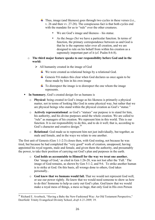$\ddot{+}$  Thus, image (and likeness) goes through two cycles in these verses (i.e., v. 26 and then vv. 27-28). The conspicuous fact is that both cycles end with the mandate for us to "rule" over the other creatures.

- We are God's image and likeness his statue.
- As the *Imago Dei* we have a particular function. In terms of function, the primary correspondence between us and God is that he is the supreme ruler over all creation, and we are designed to rule on his behalf from within his creation as a supremely important part of it (cf. Psalm 8:6-8).
- o **The third major feature speaks to our responsibility before God and in the world:** 
	- $\triangleright$  All humanity created in the image of God
		- $\overline{\text{L}}$  We were created as relational beings by a relational God.
		- Genesis 9:6 makes this clear when God declares us once again to be those made by him in his own image
		- $\pm$  To disrespect the image is to disrespect the one whom the image represents.
- ! **In Summary**, God's created design for us humans is
	- o **Physical**: being created in God's image as his likeness is primarily a physical matter, not in terms of looking like God in some physical way, but rather that we are physical beings who stand within the physical creation as God's "statue."
	- o **Actively representational**: as God's "statues" our purpose is to stand for him, his authority, and his divine purposes amid the whole creation. We are called to "rule" as managers of his creation. We represent him in this world. This is our function. It is our responsibility to do this, and to do it well; that is, according to God's character and creative design.<sup>26</sup>
	- o **Relational**: God made us to represent him not just individually, but together, as male and female, and in the ways we relate to one another.

The first unit of Genesis (Gen 1:1-2:3) closes then, with God resting, not because he was tired, but because he had completed the "very good" work of creation, unopposed, having appointed his royal regents, male and female, and given them the authority, and presumably the power, to take their position of carrying out God's plan and purposes in the earth.

- o **God holds us accountable to Himself for the way we treat one another.** Our 'image of God,' as cited in Gen 1:26-28, was not lost after the 'Fall.' The image of God remains, as shown by Gen 5:1-2, and 9:6. To strike another human is to strike at God. On this basis, all wrongs done to others, God takes personally..
- o **God knew that we humans would fail.** That we would not represent God well, or use our power rightly. He knew that we would need someone to show us how to do this! Someone to help us carry out God's plan. God knew that we would make a royal mess of things, a mess so huge, that only God in His own Person

  $^{26}$  Richard E. Averbeck, "Having a Baby the New-Fashioned Way: An Old Testament Perspective," Deerfield: Trinity Evangelical Divinity School, *draft 4-21-2009,* 19.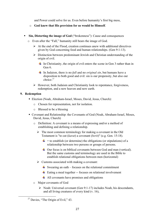and Power could solve for us. Even before humanity's first big mess,

- o **God knew that His provision for us would be Himself**.
- ! **Sin, Distorting the image of God** ("brokenness"): Cause and consequences
	- o Even after the "Fall," humanity still bears the image of God.
		- $\triangleright$  At the end of the Flood, creation continues anew with additional directives given by God concerning food and human relationships. (Gen 9:1-13).
		- $\triangleright$  Distinction between predominant Jewish and Christian understanding of the origin of evil.
			- $\perp$  In Christianity, the origin of evil enters the scene in Gen 3 rather than in Gen 6.
			- In Judaism, there is no *fall* and no *original sin*, but humans have a disposition to both good and evil: sin is our propensity, but also our choice. $27$
		- $\triangleright$  However, both Judaism and Christianity look to repentance, forgiveness, redemption, and a new heaven and new earth.

#### **9. Redemption**

- ! Election (Noah, Abraham-Israel, Moses, David, Jesus, Church):
	- o Chosen for representation, not for isolation.
	- o Blessed to be a blessing
- ! Covenant and Relationship: the Covenants of God (Noah, Abraham-Israel, Moses, David, Jesus, Church)
	- o Definition: A covenant is a means of expressing and/or a method of establishing and defining a relationship.
		- $\triangleright$  The most common terminology for making a covenant in the Old Testament is "to cut (*karat*) a covenant (*berit*)" (e.g. Gen. 15:18).
			- $\ddot{\textbf{u}}$  = to establish (or determine) the obligations (or stipulations) of a relationship between two persons or groups of persons.
			- $\overline{\phantom{a}}$  Our focus is on biblical covenants between God and man (vertical). But the same customs and terminology are used in the Bible to establish relational obligations between men (horizontal)
		- $\triangleright$  Customs associated with making a covenant:
			- $\overline{\phantom{a}}$  Swearing an oath focuses on the relational commitment
			- $\overline{\phantom{a}}$  Eating a meal together -- focuses on relational involvement
			- $\overline{\phantom{a}}$  All covenants have promises and obligations
	- o Major covenants of God
		- $\triangleright$  Noah: Universal covenant (Gen 9:1-17) includes Noah, his descendants, and all living creatures of every kind (v. 16),

<sup>&</sup>lt;sup>27</sup> Davies, "The Origin of Evil," 43.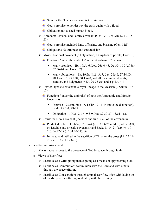- $\frac{1}{\sqrt{2}}$  Sign for the Noahic Covenant is the rainbow
- $\overline{\phantom{a}}$  God's promise to not destroy the earth again with a flood.
- $\overline{\phantom{a}}$  Obligation not to shed human blood.
- Abraham: Personal and Family covenant (Gen 17:1-27; Gen 12:1-3; 15:1-21):
	- God's promise included land, offspring, and blessing (Gen. 12:3).
	- $\downarrow$  Obligations: faithfulness and circumcision
- $\triangleright$  Moses: National covenant (a holy nation, a kingdom of priests; Exod 19).
	- $\overline{\text{F}}$  Functions "under the umbrella" of the Abrahamic Covenant
		- Many promises Ex. 19:5b-6, Lev. 26:40-45, Dt. 30:1-10 (cf. Jer. 32:36-44 and Ezek. 37)
		- Many obligations Ex. 19:5a, 8, 24:3, 7, Lev. 26:46, 27:34, Dt. 28:1 and 15, 29:10ff, 30:15-20, and all the commandments, statutes, and judgments in Ex. 20-23 etc. and esp. Dt. 4-11.
- $\triangleright$  David: Dynastic covenant, a royal lineage to the Messiah (2 Samuel 7:8-17)
	- $\overline{\text{F}}$  Functions "under the umbrella" of both the Abrahamic and Mosaic Covenants
		- Promise  $-2$  Sam. 7:12-16, 1 Chr. 17:11-14 (note the distinction), Psalm 89:3-4, 28-29.
		- Obligation 1 Kgs. 2:1-4. 9:3-9, Psa. 89:30-37, 132:11-12.
- $\triangleright$  Jesus: the New Covenant (includes and fulfills all of the covenants)
	- **+** Predicted in Jer. 31:31-37, 32:36-44 (cf. 33:14-26 in MT [not in LXX] on Davidic and priestly covenants) and Ezek. 11:14-21 (esp. vv. 19- 20), 36:22-38 (cf. 34:20-31), etc.
	- Initiated and ratified in the sacrifice of Christ on the cross (Lk. 22:19-20 and 1 Cor. 11:23-26)
- Sacrifice and Atonement:
	- o Always about access to the presence of God by grace through faith
	- o Views of Sacrifice:
		- $\triangleright$  Sacrifice as a Gift: giving thanksgiving as a means of approaching God.
		- $\triangleright$  Sacrifice as Communion: communion with the Lord and with others through the peace offering.
		- $\triangleright$  Sacrifice as Consecration: through animal sacrifice, often with laying on of hands upon the offering to identify with the offering.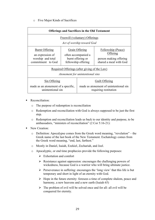#### o Five Major Kinds of Sacrifices

| <b>Offerings and Sacrifices in the Old Testament</b>     |                     |                                                                 |                        |  |  |  |  |
|----------------------------------------------------------|---------------------|-----------------------------------------------------------------|------------------------|--|--|--|--|
| Freewill (voluntary) Offerings                           |                     |                                                                 |                        |  |  |  |  |
| Act of worship toward God                                |                     |                                                                 |                        |  |  |  |  |
| <b>Burnt Offering</b>                                    | Grain Offering      |                                                                 | Fellowship (Peace)     |  |  |  |  |
| an expression of                                         |                     | often accompanied a                                             | Offering               |  |  |  |  |
| worship and total                                        | burnt offering or   |                                                                 | person making offering |  |  |  |  |
| commitment to God                                        | fellowship offering |                                                                 | shared a meal with God |  |  |  |  |
| Required Offerings (after giving of the Law)             |                     |                                                                 |                        |  |  |  |  |
| Atonement for unintentional sins                         |                     |                                                                 |                        |  |  |  |  |
| Sin Offering                                             |                     | Guilt Offering                                                  |                        |  |  |  |  |
| made as an atonement of a specific,<br>unintentional sin |                     | made as atonement of unintentional sin<br>requiring restitution |                        |  |  |  |  |

- Reconciliation<sup>-</sup>
	- o The purpose of redemption is reconciliation
	- o Redemption and reconciliation with God is always supposed to be just the first step.
	- o Redemption and reconciliation leads us back to our identity and purpose, to be ambassadors, "ministers of reconciliation" (2 Cor 5:16-21):
- **New Creation:** 
	- o Definition: Apocalypse comes from the Greek word meaning, "revelation" the Greek name of the last book of the New Testament. Eschatology comes from the Greek word meaning, "end, last, farthest."
	- o Mostly in Daniel, Isaiah, Ezekiel, Zechariah, and Joel.
	- o Apocalyptic, or end time prophecies provide the following purposes:
		- $\triangleright$  Exhortation and comfort
		- $\triangleright$  Resistance against oppression: encourages the challenging powers of wickedness, because God is a warrior who will bring ultimate justice.
		- $\triangleright$  Perseverance in suffering: encourages the 'long view' that this life is but temporary and short in light of an eternity with God.
		- $\triangleright$  Hope in the future eternity: foresees a time of complete shalom, peace and harmony, a new heavens and a new earth (Isaiah 65)
		- $\triangleright$  The problem of evil will be solved once and for all: all evil will be conquered for eternity.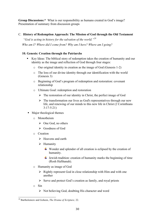**Group Discussions:\*** What is our responsibility as humans created in God's image? Presentation of summary from discussion groups

#### C. **History of Redemption Approach: The Mission of God through the Old Testament**

*"God is acting in history for the salvation of the world."<sup>28</sup> Who am I? Where did I come from? Why am I here? Where am I going?* 

#### **10. Genesis: Creation through the Patriarchs**

- ! Key Ideas: The biblical story of redemption takes the creation of humanity and our identity as the image and reflection of God through four stages:
	- o Our original identity in creation as the image of God (Genesis 1-2)
	- o The loss of our divine identity through our identification with the world (Genesis 3)
	- o Beginning of God's program of redemption and restoration: covenant relationship
	- o Ultimate Goal: redemption and restoration
		- $\triangleright$  The restoration of our identity in Christ, the perfect image of God
		- $\triangleright$  The transformation our lives as God's representatives through our new life, and renewing of our minds to this new life in Christ (2 Corinthians 3:17-5:21)
- Major theological themes
	- o Monotheism
		- $\triangleright$  One God, no others
		- $\triangleright$  Goodness of God
	- o Creation
		- $\triangleright$  Heavens and earth
		- $\triangleright$  Humanity
			- $\overline{\mathbf{u}}$  Wonder and splendor of all creation is eclipsed by the creation of humanity.
			- $\downarrow$  Jewish tradition: creation of humanity marks the beginning of time (Rosh HaShanah).
	- o Humanity as image of God
		- $\triangleright$  Rightly represent God in close relationship with Him and with one another
		- $\triangleright$  Serve and protect God's creation as family, and royal priests
	- o Sin
		- $\triangleright$  Not believing God, doubting His character and word

 <sup>28</sup> Bartholomew and Goheen, *The Drama of Scripture,* 22.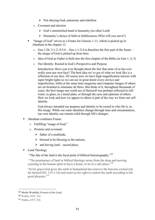- $\triangleright$  Not obeying God, autonomy and rebellion
- o Covenant and election
	- $\triangleright$  God's outstretched hand to humanity (no other Lord)
	- $\triangleright$  Humanity's choice of faith or faithlessness (Who will you serve?)
- "Image of God" serves as a Frame for Genesis 1-11, which is picked up in Abraham in the chapter 12
	- $\circ$  Gen 1:26; 5:1-2; 9:5-6 Gen 1:1-2:4 is therefore the first part of the frame the image of God is picked up from here.
	- o Idea of God as Father is built into the first chapter of the Bible (as Gen 1, 4, 5)
	- o Our Identity: Rooted in God's Perspective and Purpose

Introduction: Have you ever thought about the fact that none of us has ever really seen our own face? The best idea we've got of what we look like is a reflection of our face. Of course now we have high magnification mirrors with super bright lights so we can see in great detail every crevice and imperfection, while at the same time magazine and computer images of others are air-brushed to eliminate all flaws. But think of it, throughout thousands of years, the best image one could see of themself was perhaps reflected in still water, in glass, in a metal plate, or through the eyes and opinions of others. How we look and how we appear to others is part of the way we form our selfidentity.

God always intended our purpose and identity to be rooted in who He is, in His image. While our outer identities change through time and circumstances, our core identity can remain solid through life's changes.

- ! Abraham continues Frame:
	- o Fulfilling "image of God,"
	- o Promise and covenant:
		- $\triangleright$  father of a multitude,
		- $\triangleright$  blessed to be blessing to the nations.
		- $\triangleright$  and having land sacred place.
- Land Theology

"The fate of the land is the focal point of biblical historiography."<sup>29</sup>

"The prominence of land in biblical theology arises from the deep and moving yearning in the human spirit to have a home, to be in a safe place."<sup>30</sup>

"In his grace God gives the earth to humankind but reserves the heavens exclusively for himself (Ps. 115:1-16) and reserves his right to control the earth according to his good pleasure."<sup>31</sup>

 

<sup>29</sup> Moshe Weinfeld, *Promise of the Land*,

<sup>30</sup> Waltke, OTT, 534

<sup>31</sup> Waltke, OTT, 536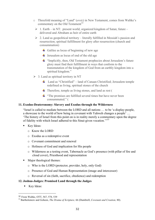- o Threefold meaning of "Land" (*eretz*) in New Testament, comes from Waltke's commentary on the Old Testament<sup>32</sup>
	- $\geq 1$ . Earth in NT: present world, organized kingdom of Satan; future delivered and Abraham as heir of entire earth
	- $\geq$  2. Land as geopolitical territory literally fulfilled in Messiah's passion and resurrection; spiritual fulfillment for glory after resurrection (church and consummation)
		- $\overline{\phantom{a}}$  Galilee as locus of beginning of new age
		- $\overline{\phantom{a}}$  Jerusalem as locus of end of the old age
		- $\ddot{\text{I}}$  "Implicitly, then, Old Testament prophecies about Jerusalem's future glory must find their fulfillment in ways that conform to the transmutation of the kingdom of God from an earthly kingdom into a spiritual kingdom."
- $\geq 3$ . Land as spiritual territory in NT
	- Land as "Christified" land of Canaan Christified; Jerusalem temple redefined as living, spiritual stones of the church
	- $\overline{\text{ }+ \text{ } }$  Therefore, temple as living stones, and land as rest (
	- $\ddot{\text{+}}$  "The promises are fulfilled several times but have never been consummated." (

#### **11. Exodus-Deuteronomy: Slavery and Exodus through the Wilderness**

"Israel is called to mediate between the LORD and all nations … to be 'a display-people, a showcase to the world of how being in covenant with Yahweh changes a people' … 'The history of Israel from this point on is in reality merely a commentary upon the degree of fidelity with which Israel adhered to this Sinai-given vocation.'"33

- **EXECUTE:** Key Ideas:
	- o Know the LORD
	- o Exodus as a redemptive event
	- o Covenant commitment and renewal
	- o Holiness of God and implication for His people
	- o Wilderness as a testing event, Tabernacle as God's presence (with pillar of fire and cloud cover), Priesthood and representation
- ! Major theological themes:
	- o Who is the LORD (protector, provider, holy, only God)
	- o Presence of God and Human Representation (image and intercessor)
	- o Reversal of sin (faith, sacrifice, obedience) and redemption

#### **12. Joshua-Judges: Promised Land through the Judges**

Key Ideas:

 <sup>32</sup> From Waltke, OTT, 567, 578, 539

<sup>33</sup> Bartholomew and Goheen, *The Drama of Scripture,* 66 (Dumbrell, *Covenant and Creation,* 80).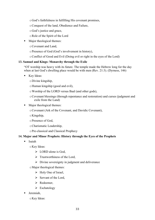oGod's faithfulness in fulfilling His covenant promises,

- oConquest of the land, Obedience and Failure,
- oGod's justice and grace,
- oRole of the Spirit of the Lord
- ! Major theological themes:
	- oCovenant and Land,
	- oPresence of God (God's involvement in history),
	- oConflict of Good and Evil (Doing evil or right in the eyes of the Lord)

#### **13. Samuel and Kings: Monarchy through the Exile**

"OT worship was heavy with its future. The temple made the Hebrew long for the day when at last God's dwelling place would be with men (Rev. 21:3). (Dyrness, 146)

- **EXECUTE:** Key Ideas:
	- oDivine kingship,
	- oHuman kingship (good and evil),
	- oWorship of the LORD versus Baal (and other gods),
	- oCovenant blessings (through repentance and restoration) and curses (judgment and exile from the Land)
- Major theological themes:
	- oCovenant (Ark of the Covenant, and Davidic Covenant),
	- $\circ$ Kingship,
	- oPresence of God,
	- oCharismatic Leadership,
	- oPre-classical and Classical Prophecy

#### **14. Major and Minor Prophets: History through the Eyes of the Prophets**

! Isaiah

oKey Ideas:

- $\triangleright$  LORD alone is God,
- $\triangleright$  Trustworthiness of the Lord.
- $\triangleright$  Divine sovereignty in judgment and deliverance
- oMajor theological themes:
	- $\triangleright$  Holy One of Israel,
	- $\triangleright$  Servant of the Lord,
	- $\triangleright$  Redeemer
	- $\triangleright$  Eschatology
- ! Jeremiah,
	- oKey Ideas: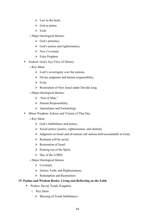- $\triangleright$  Law in the heart,
- $\triangleright$  God as potter,
- $\triangleright$  Exile
- oMajor theological themes:
	- $\triangleright$  God's presence,
	- $\triangleright$  God's justice and righteousness,
	- $\triangleright$  New Covenant,
	- $\triangleright$  False Prophets
- Ezekiel: God's Eye View of History
	- oKey Ideas:
		- $\triangleright$  Lord's sovereignty over the nations,
		- $\triangleright$  Divine judgment and human responsibility,
		- $\triangleright$  Exile,
		- $\triangleright$  Restoration of New Israel under Davidic king
	- oMajor theological themes:
		- $\triangleright$  "Son of Man."
		- $\triangleright$  Human Responsibility,
		- $\triangleright$  Apocalypse and Eschatology
- ! Minor Prophets: Echoes and Visions of That Day
	- oKey Ideas:
		- $\triangleright$  God's faithfulness and justice,
		- $\triangleright$  Social justice (justice, righteousness, and shalom)
		- $\triangleright$  Judgment on Israel and all nations (all nations held accountable to God),
		- $\triangleright$  Remnant will be saved.
		- $\triangleright$  Restoration of Israel
		- $\triangleright$  Pouring out of the Spirit,
		- $\triangleright$  Day of the LORD,
	- oMajor theological themes:
		- $\triangleright$  Covenant,
		- $\triangleright$  Justice, Faith, and Righteousness,
		- $\triangleright$  Redemption and Restoration

#### **15. Psalms and Wisdom Books: Living and Reflecting on the Faith**

- ! Psalms: David, Torah, Kingdom
	- o Key Ideas:
		- $\triangleright$  Blessing of Torah faithfulness,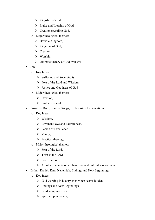- $\triangleright$  Kingship of God,
- $\triangleright$  Praise and Worship of God,
- $\triangleright$  Creation revealing God.
- o Major theological themes:
	- > Davidic Kingdom,
	- $\triangleright$  Kingdom of God,
	- $\triangleright$  Creation,
	- $\triangleright$  Worship,
	- $\triangleright$  Ultimate victory of God over evil
- ! Job
	- o Key Ideas:
		- $\triangleright$  Suffering and Sovereignty,
		- $\triangleright$  Fear of the Lord and Wisdom
		- $\triangleright$  Justice and Goodness of God
	- o Major theological themes:
		- $\triangleright$  Creation.
		- $\triangleright$  Problem of evil
- ! Proverbs, Ruth, Song of Songs, Ecclesiastes, Lamentations
	- o Key Ideas:
		- $\triangleright$  Wisdom,
		- $\triangleright$  Covenant love and Faithfulness,
		- $\triangleright$  Person of Excellence,
		- $\triangleright$  Vanity,
		- $\triangleright$  Practical theology
	- o Major theological themes:
		- $\triangleright$  Fear of the Lord,
		- $\triangleright$  Trust in the Lord.
		- $\triangleright$  Love the Lord,
		- $\triangleright$  All other pursuits other than covenant faithfulness are vain
- ! Esther, Daniel, Ezra, Nehemiah: Endings and New Beginnings
	- o Key Ideas:
		- $\triangleright$  God working in history even when seems hidden,
		- $\triangleright$  Endings and New Beginnings,
		- $\triangleright$  Leadership in Crisis,
		- $\triangleright$  Spirit empowerment,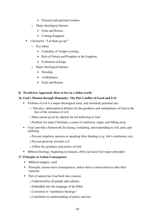- $\triangleright$  Practical and spiritual wisdom
- o Major theological themes:
	- $\triangleright$  Exile and Return,
	- $\triangleright$  Coming Kingdom
- Chronicles: "Let them go up!"
	- o Key Ideas:
		- $\triangleright$  Centrality of Temple worship,
		- $\triangleright$  Role of Priests and Prophets in the kingdom,
		- $\triangleright$  Evaluation of kings
	- o Major theological themes:
		- $\triangleright$  Worship,
		- $\triangleright$  Faithfulness,
		- $\triangleright$  Exile and Return

#### **D. Worldview Approach: How to live in a fallen world**

#### **16. God's Mission through Humanity: The Plot Conflict of Good and Evil**

- ! Problem of evil is a major theological issue, and extremely personal one
	- o Theodicy: philosophical defense for the goodness and omnipotence of God in the face of the existence of evil
	- oMain reason given by atheists for not believing in God
	- oProblem for many Christians, a cause of confusion, anger, and falling away
- ! Goal: provide a framework for facing, evaluating, and responding to evil, pain, and suffering
	- $\circ$  Prevent simplistic answers or speaking false theology (e.g. Job's comforters, etc)
	- oPrevent passivity towards evil
	- oAffirm the goodness and justice of God
- ! Biblical theology, beginning in Genesis, offers (at least) four major principles

#### **17. Principle of Action-Consequence**

- Biblical imagery: seed
- ! Principle: actions have consequences, unless there is intervention to alter their outcome
- ! Part of natural law God built into creation
	- oUnderstood by all people and cultures
	- oEmbedded into the language of the Bible
	- oCorrection to "retribution theology"
	- oContributes to understanding of justice and law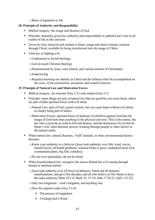oBasis of argument in Job

#### **18. Principle of Authority and Responsibility**

- ! Biblical imagery: the image and likeness of God
- ! Principle: humanity given key authority and responsibility to uphold God's rule in all realms of life in this universe
- ! Given by God, betrayed and yielded to Satan, image and choice remain, restored through Christ, available by being transformed into the image of Christ
- ! Vital key to fighting evil
	- oUnderstood in Jewish theology
	- oLost in much Christian theology
	- oDemonstrated by Jesus, early church, and various streams of Christianity
	- oEmpowering
	- oRequires knowing our identity in Christ and the fullness what He accomplished on the cross, in his resurrection, ascension, and seated in heaven

#### **19. Principle of Natural Law and Malevolent Forces**

- Biblical imagery: sea monster (Gen 1:21) and serpent (Gen 3:1)
- ! Principle: some things are part of natural law that are good but can cause harm, others are part of dark spiritual forces with evil intent
	- oNatural Law: part of God's good creation, but can cause harm without evil intent, as simply being part of nature.
	- oMalevolent Forces: spiritual forces of darkness in rebellion against God hate the image of God more than anything in the physical universe. This is the enemy, the liar who is actively at work to kill and destroy, and the dominions of evil that do Satan's will, often demonic powers working through people or other factors in the natural realm.
- When natural law, natural disasters, "wild" animals, or other environmental factors threaten:
	- oKnow your authority as a believer (Jesus took authority over fish, wind, waves, natural forces, all health problems, maimed limbs to grow, multiplied food; God commanded plants, big fish, a donkey)
	- oDo not over-spiritualize, do not be afraid
- ! When beyond natural law, recognize the source behind the evil coming through human or spiritual entities
	- oJesus took authority over all forces of darkness, Satan and all demonic manifestations, and gave His disciples and all who believe in His Name to have the same authority (Matt 10:1-8; Mark 16: 15-18; John 17:20-21; Eph 1:15-23)
	- oOnly two kingdoms God's kingdom, and anything else
	- $\circ$  How the serpent works (Gen 3:1-6)
		- $\triangleright$  The process of temptation
		- $\triangleright$  Twisting God's Word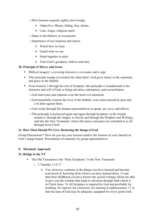- oHow humans respond, rightly and wrongly
	- $\triangleright$  Adam-Eve: Blame, hiding, fear, shame,
	- $\triangleright$  Cain: Anger, religious spirit
- oSatan in the Hebrew as executioner
- oImportance of our response and choice
	- $\triangleright$  Watch how we hear
	- $\triangleright$  Guard what we see
	- $\triangleright$  Stand together in unity
	- $\triangleright$  Trust God's goodness, believe and obey

#### **20. Principle of Mercy and Grace**

- ! Biblical imagery: a covering (*kutonet*), a covenant, and a sign
- ! This principle trumps (overrules) the other three: God gives mercy to the repentant, and grace to the faithful
- ! From Genesis 3 through the rest of Scripture, this principle is foundational to the character and will of God, to bring salvation, redemption, and reconciliation
	- oGod intervenes and redeems even the most evil intentions
	- oGod beautifully restores the lives of the faithful, even when marred by pain and evil done against them
	- oGod works through His human representatives to speak, act, save, and deliver
	- oThis principle is portrayed again and again through Scripture: in the Joseph narrative, through the Judges, to David, and through the Prophets and Writings, and into the New Testament, where His mercy and grace are extended to us all through Jesus Christ

#### **21. How Then Should We Live: Restoring the Image of God**

Group Discussions:\* How do you see your mission (and/or the mission of your church) as God's image-bearer. Presentation of summary by group representatives

#### **E. Messianic Approach**

#### **22. Bridge to the NT**

- ! The Old Testament is the "Holy Scriptures" in the New Testament
	- $\circ$  2 Timothy 3:15-17
		- $\triangleright$  You, however, continue in the things you have learned and become convinced of, knowing from whom you have learned them, 15 and that from childhood you have known the sacred writings which are able to give you the wisdom that leads to salvation through faith which is in Christ Jesus. 16 All Scripture is inspired by God and profitable for teaching, for reproof, for correction, for training in righteousness; 17 so that the man of God may be adequate, equipped for every good work.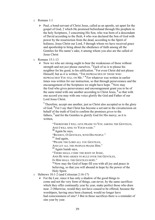- o Romans 1:1
	- $\triangleright$  Paul, a bond-servant of Christ Jesus, called as an apostle, set apart for the gospel of God, 2 which He promised beforehand through His prophets in the holy Scriptures, 3 concerning His Son, who was born of a descendant of David according to the flesh, 4 who was declared the Son of God with power by the resurrection from the dead, according to the Spirit of holiness, Jesus Christ our Lord, 5 through whom we have received grace and apostleship to bring about the obedience of faith among all the Gentiles for His name's sake, 6 among whom you also are the called of Jesus Christ
- $\Omega$  Romans 15:1-13
	- $\triangleright$  Now we who are strong ought to bear the weaknesses of those without strength and not *just* please ourselves. **<sup>2</sup>** Each of us is to please his neighbor for his good, to his edification. **<sup>3</sup>** For even Christ did not please Himself; but as it is written, "THE REPROACHES OF THOSE WHO REPROACHED YOU FELL ON ME." **<sup>4</sup>** For whatever was written in earlier times was written for our instruction, so that through perseverance and the encouragement of the Scriptures we might have hope. **<sup>5</sup>** Now may the God who gives perseverance and encouragement grant you to be of the same mind with one another according to Christ Jesus, **<sup>6</sup>** so that with one accord you may with one voice glorify the God and Father of our Lord Jesus Christ.

<sup>7</sup> Therefore, accept one another, just as Christ also accepted us to the glory of God. **<sup>8</sup>** For I say that Christ has become a servant to the circumcision on behalf of the truth of God to confirm the promises *given* to the fathers, **<sup>9</sup>** and for the Gentiles to glorify God for His mercy; as it is written,

"THEREFORE I WILL GIVE PRAISE TO YOU AMONG THE GENTILES, AND I WILL SING TO YOUR NAME."

**<sup>10</sup>** Again he says,

"REJOICE, O GENTILES, WITH HIS PEOPLE."

**<sup>11</sup>** And again,

"PRAISE THE LORD ALL YOU GENTILES,

AND LET ALL THE PEOPLES PRAISE HIM."

**<sup>12</sup>** Again Isaiah says,

"THERE SHALL COME THE ROOT OF JESSE,

AND HE WHO ARISES TO RULE OVER THE GENTILES.

IN HIM SHALL THE GENTILES HOPE."

**<sup>13</sup>**Now may the God of hope fill you with all joy and peace in believing, so that you will abound in hope by the power of the Holy Spirit.

- o Hebrews 10:1-2 (and Colossian 2:16-17)
	- $\triangleright$  For the Law, since it has only a shadow of the good things to come and not the very form of things, can never, by the same sacrifices which they offer continually year by year, make perfect those who draw near. 2 Otherwise, would they not have ceased to be offered, because the worshipers, having once been cleansed, would no longer have had consciousness of sins? 3 But in those sacrifices there is a reminder of sins year by year.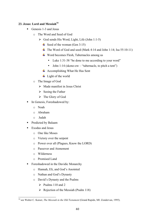#### 23. **Jesus: Lord and Messiah**<sup>34</sup>

- Genesis 1-3 and Jesus
	- o The Word and Seed of God
		- $\triangleright$  God sends His Word, Light, Life (John 1:1-5)
			- $\div$  Seed of the woman (Gen 3:15)
			- $\ddot{+}$  The Word of God and seed (Mark 4:14 and John 1:14; Isa 55:10-11)
			- Word becomes Flesh, Tabernacles among us
				- Luke 1:31-38 "be done to me according to your word"
				- John 1:14 (skeno-ow "tabernacle, to pitch a tent")
			- $\overline{\text{4}}$  Accomplishing What He Has Sent
			- $\perp$  Light of the world
	- o The Image of God
		- $\triangleright$  Made manifest in Jesus Christ
		- $\triangleright$  Seeing the Father
		- $\triangleright$  The Glory of God
- In Genesis, Foreshadowed by:
	- o Noah
	- o Abraham
	- o Judah
- ! Predicted by Balaam
- Exodus and Jesus
	- o One like Moses
	- o Victory over the serpent
	- o Power over all (Plagues, Know the LORD)
	- o Passover and Atonement
	- o Wilderness
	- o Promised Land
- **Exercise Exercise Exercise Server** Foreshadowed in the Davidic Monarchy
	- o Hannah, Eli, and God's Anointed
	- o Nathan and God's Dynasty
	- o David's Dynasty and the Psalms
		- $\triangleright$  Psalms 110 and 2
		- $\triangleright$  Rejection of the Messiah (Psalm 118)

 <sup>34</sup> see Walter C. Kaiser, *The Messiah in the Old Testament* (Grand Rapids, MI: Zondervan, 1995).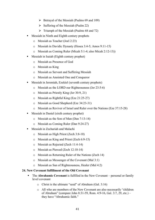- $\triangleright$  Betrayal of the Messiah (Psalms 69 and 109)
- $\triangleright$  Suffering of the Messiah (Psalm 22)
- $\triangleright$  Triumph of the Messiah (Psalms 68 and 72)
- ! Messiah in Ninth and Eighth century prophets
	- o Messiah as Teacher (Joel 2:23)
	- o Messiah in Davidic Dynasty (Hosea 3:4-5; Amos 9:11-15)
	- o Messiah as Coming Ruler (Micah 5:1-4; also Micah 2:12-13))
- ! Messiah in Isaiah (Eighth century prophet)
	- o Messiah as Presence of God
	- o Messiah as King
	- o Messiah as Servant and Suffering Messiah
	- o Messiah as Anointed One and Conqueror
- ! Messiah in Jeremiah, Ezekiel (seventh century prophets)
	- o Messiah as the LORD our Righteousness (Jer 23:5-6)
	- o Messiah as Priestly King (Jer 30:9, 21)
	- o Messiah as Rightful King (Eze 21:25-27)
	- o Messiah as Good Shepherd (Eze 34:23-31)
	- o Messiah as Reviver of Israel and Ruler over the Nations (Eze 37:15-28)
- ! Messiah in Daniel (sixth century prophet)
	- o Messiah as the Son of Man (Dan 7:13-14)
	- o Messiah as Coming Ruler (Dan 9:24-27)
- ! Messiah in Zechariah and Malachi
	- o Messiah as High Priest (Zech 3:8-10)
	- o Messiah as King and Priest (Zech 6:9-15)
	- o Messiah as Rejected (Zech 11:4-14)
	- o Messiah as Pierced (Zech 12:10-14)
	- o Messiah as Returning Ruler of the Nations (Zech 14)
	- o Messiah as Messenger of the Covenant (Mal 3:1)
	- o Messiah as Sun of Righteousness, Healer (Mal 4:2)

#### **24. New Covenant fulfillment of the Old Covenant**

- ! The **Abrahamic Covenant** is fulfilled in the New Covenant personal or family level covenant
	- o Christ is the ultimate "seed" of Abraham (Gal. 3:16)
	- o All who are members of the New Covenant are also necessarily "children of Abraham" (compare John 8:31-59, Rom. 4:9-16, Gal. 3:7, 29, etc.) – they have "Abrahamic faith."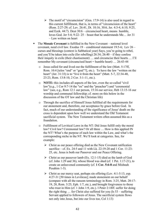- $\triangleright$  The motif of "circumcision" (Gen. 17:9-14) is also used in regard to this current fulfillment, that is, in terms of "circumcision of the heart" (Rom. 2:27-29; cf. Lev. 26:41, Dt. 10:16, 30:6, Jer. 4:3-4, 6:10, 9:25, and Ezek. 44:7). Deut 30:6 – circumcised heart, means humble, loves God. Jer 5:4; 9:22- 25 – boast that he understands Me… Jer 31 – Law written on heart
- ! The **Mosaic Covenant** is fulfilled in the New Covenant national level covenant, need civil law. Exodus 19 – conditional statement 19:5-6; Lev 26 – curses and blessings (context is Sabbatical year) Says, you're going to rebel, and you'll be taken into exile (for rebelling) 26:34; 26:40 – if they confess their iniquity in exile (their chastisement) … and circumcise their hearts … I'll remember My covenant (circumcised heart = humble heart)  $\ldots$  26:43-44
	- o Jesus called for and lived out the fulfillment of the law (Matt. 5:17ff, Rom. 10:4 [telos "end" or "goal"?], etc.). To have the law "written on the heart" (Jer. 31:33) is to "live it from the heart" (Matt. 5-7, 22:34-40, 23:23, Rom. 13:8-10, 2 Cor. 3:1-11, etc.).
	- o **NOTE:** this includes all aspects of the law, even the so-called "civil law"(e.g., 1 Cor 9:7-14 the "ox" and the "preacher") and "ceremonial law" (see, e.g., Rom 12:1 our person, 15:16 our service, Heb 13:15-16 our worship and communal fellowship; cf. more on this below in the discussion of the OT law and the Christian life)
	- o Through the sacrifice of Himself Jesus fulfilled all the requirements for our atonement and, therefore, our acceptance by grace before God. In fact, much of our understanding of the significance of Jesus' death on the cross is dependent upon how well we understand the Old Testament sacrificial system. The New Testament writers often assumed this as a foundation.
	- o Fulfillment of Levitical Laws in the NT: Did Jesus fulfill only the moral law? Civil law? Ceremonial law? Or all three … How is this applied IN the NT? What's the purpose of each law within the Law, and what's the corresponding niche in the NT. We'll look at categories. See, for example:
		- $\triangleright$  Christ as our peace offering died as the New Covenant ratification sacrifice – cf. Ex. 24:5 and 11 with Lk. 22:19-20 and 1 Cor. 11:23- 25, etc. Jesus is both our Passover and our Peace Offering.
		- $\triangleright$  Christ as our passover lamb (Ex. 12:1-15) died as the lamb of God (cf. John 1:29 and 36), whose blood was shed (cf. 1 Pet. 1:17-21), to create an unleavened community (cf. **1 Cor. 5:6-8** and Mishnah Pesahim 1-3).
		- $\triangleright$  Christ as our mercy seat, perhaps sin offering (Lev. 4:1-5:13, esp. 4:27-31 [50 times in Leviticus]; made atonement on our behalf (compare with all the ransom terminology in Rom. 3:25, Matt. 20:17- 19, 28, Rom. 3:25, Eph. 1:7, etc.), and brought forgiveness to those who trust in Him (cf. 1 John 1:9, etc.). I Peter 2:18ff. suffer for doing the right thing … for Christ also suffered for you (Is 53 – suffering Servant applied to followers of Jesus. The sacrificial system flows not only into Jesus, but into our lives too, Col 1:13)